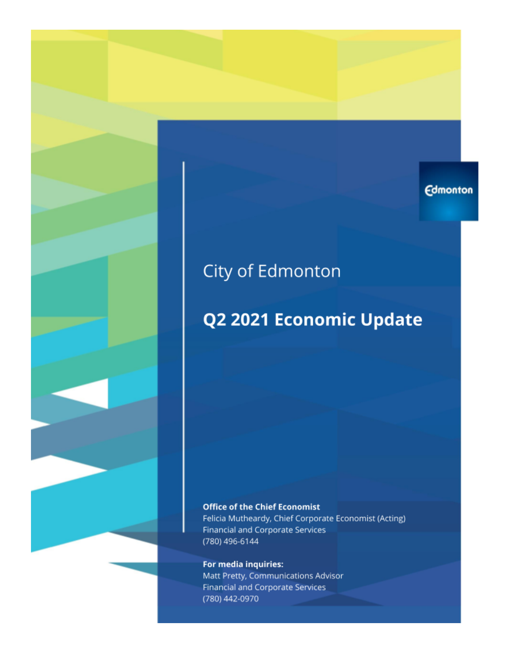## **Edmonton**

# City of Edmonton

# Q2 2021 Economic Update

#### **Office of the Chief Economist**

Felicia Mutheardy, Chief Corporate Economist (Acting) Financial and Corporate Services (780) 496-6144

### For media inquiries:

Matt Pretty, Communications Advisor **Financial and Corporate Services** (780) 442-0970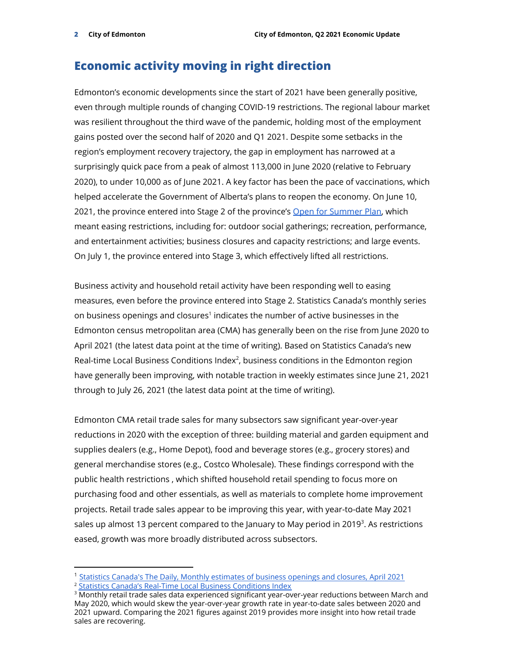### **Economic activity moving in right direction**

Edmonton's economic developments since the start of 2021 have been generally positive, even through multiple rounds of changing COVID-19 restrictions. The regional labour market was resilient throughout the third wave of the pandemic, holding most of the employment gains posted over the second half of 2020 and Q1 2021. Despite some setbacks in the region's employment recovery trajectory, the gap in employment has narrowed at a surprisingly quick pace from a peak of almost 113,000 in June 2020 (relative to February 2020), to under 10,000 as of June 2021. A key factor has been the pace of vaccinations, which helped accelerate the Government of Alberta's plans to reopen the economy. On June 10, 2021, the province entered into Stage 2 of the province's Open for [Summer](https://www.alberta.ca/covid-19-public-health-actions.aspx) Plan, which meant easing restrictions, including for: outdoor social gatherings; recreation, performance, and entertainment activities; business closures and capacity restrictions; and large events. On July 1, the province entered into Stage 3, which effectively lifted all restrictions.

Business activity and household retail activity have been responding well to easing measures, even before the province entered into Stage 2. Statistics Canada's monthly series on business openings and closures $^1$  indicates the number of active businesses in the Edmonton census metropolitan area (CMA) has generally been on the rise from June 2020 to April 2021 (the latest data point at the time of writing). Based on Statistics Canada's new Real-time Local Business Conditions Index<sup>2</sup>, business conditions in the Edmonton region have generally been improving, with notable traction in weekly estimates since June 21, 2021 through to July 26, 2021 (the latest data point at the time of writing).

Edmonton CMA retail trade sales for many subsectors saw significant year-over-year reductions in 2020 with the exception of three: building material and garden equipment and supplies dealers (e.g., Home Depot), food and beverage stores (e.g., grocery stores) and general merchandise stores (e.g., Costco Wholesale). These findings correspond with the public health restrictions , which shifted household retail spending to focus more on purchasing food and other essentials, as well as materials to complete home improvement projects. Retail trade sales appear to be improving this year, with year-to-date May 2021 sales up almost 13 percent compared to the January to May period in 2019<sup>3</sup>. As restrictions eased, growth was more broadly distributed across subsectors.

<sup>&</sup>lt;sup>2</sup> [Statistics Canada's Real-Time Local Business Conditions](https://www150.statcan.gc.ca/n1/pub/71-607-x/71-607-x2021017-eng.htm) Index <sup>1</sup> [Statistics Canada's The Daily, Monthly estimates](https://www150.statcan.gc.ca/n1/daily-quotidien/210726/dq210726d-eng.htm) of business openings and closures, April 2021

 $3$  Monthly retail trade sales data experienced significant year-over-year reductions between March and May 2020, which would skew the year-over-year growth rate in year-to-date sales between 2020 and 2021 upward. Comparing the 2021 figures against 2019 provides more insight into how retail trade sales are recovering.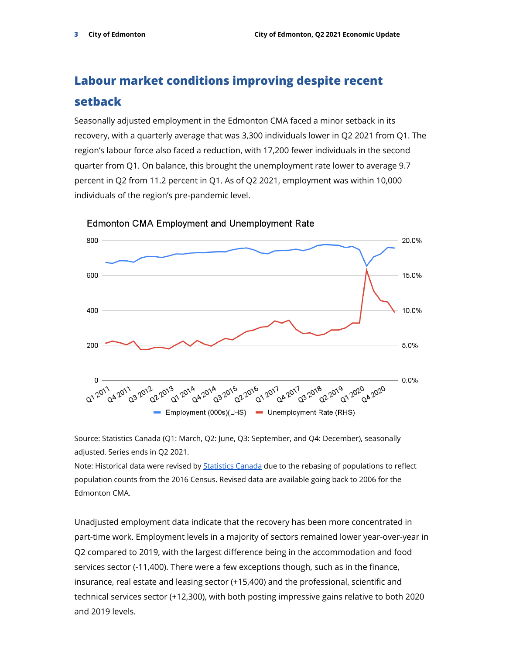# **Labour market conditions improving despite recent setback**

Seasonally adjusted employment in the Edmonton CMA faced a minor setback in its recovery, with a quarterly average that was 3,300 individuals lower in Q2 2021 from Q1. The region's labour force also faced a reduction, with 17,200 fewer individuals in the second quarter from Q1. On balance, this brought the unemployment rate lower to average 9.7 percent in Q2 from 11.2 percent in Q1. As of Q2 2021, employment was within 10,000 individuals of the region's pre-pandemic level.



**Edmonton CMA Employment and Unemployment Rate** 

Source: Statistics Canada (Q1: March, Q2: June, Q3: September, and Q4: December), seasonally adjusted. Series ends in Q2 2021.

Note: Historical data were revised by **[Statistics Canada](https://www150.statcan.gc.ca/n1/pub/71f0031x/71f0031x2021001-eng.htm)** due to the rebasing of populations to reflect population counts from the 2016 Census. Revised data are available going back to 2006 for the Edmonton CMA.

Unadjusted employment data indicate that the recovery has been more concentrated in part-time work. Employment levels in a majority of sectors remained lower year-over-year in Q2 compared to 2019, with the largest difference being in the accommodation and food services sector (-11,400). There were a few exceptions though, such as in the finance, insurance, real estate and leasing sector (+15,400) and the professional, scientific and technical services sector (+12,300), with both posting impressive gains relative to both 2020 and 2019 levels.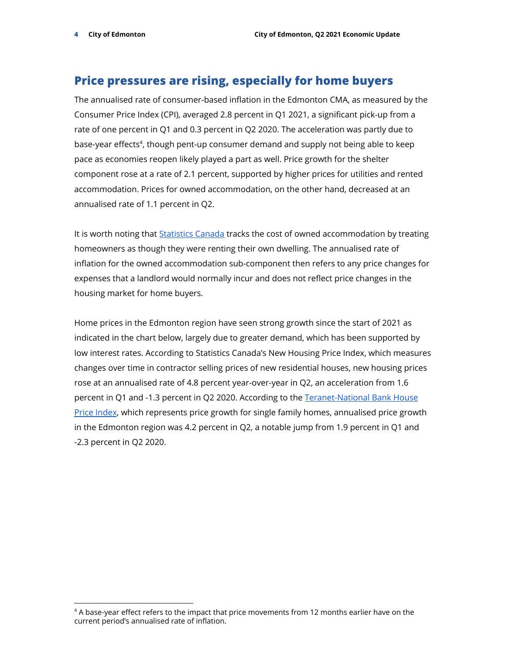### **Price pressures are rising, especially for home buyers**

The annualised rate of consumer-based inflation in the Edmonton CMA, as measured by the Consumer Price Index (CPI), averaged 2.8 percent in Q1 2021, a significant pick-up from a rate of one percent in Q1 and 0.3 percent in Q2 2020. The acceleration was partly due to base-year effects<sup>4</sup>, though pent-up consumer demand and supply not being able to keep pace as economies reopen likely played a part as well. Price growth for the shelter component rose at a rate of 2.1 percent, supported by higher prices for utilities and rented accommodation. Prices for owned accommodation, on the other hand, decreased at an annualised rate of 1.1 percent in Q2.

It is worth noting that [Statistics](https://www.statcan.gc.ca/eng/blog/cs/shelter-cost) Canada tracks the cost of owned accommodation by treating homeowners as though they were renting their own dwelling. The annualised rate of inflation for the owned accommodation sub-component then refers to any price changes for expenses that a landlord would normally incur and does not reflect price changes in the housing market for home buyers.

Home prices in the Edmonton region have seen strong growth since the start of 2021 as indicated in the chart below, largely due to greater demand, which has been supported by low interest rates. According to Statistics Canada's New Housing Price Index, which measures changes over time in contractor selling prices of new residential houses, new housing prices rose at an annualised rate of 4.8 percent year-over-year in Q2, an acceleration from 1.6 percent in Q1 and -1.3 percent in Q2 2020. According to the [Teranet-National](https://housepriceindex.ca/#maps=c11) Bank House Price [Index](https://housepriceindex.ca/#maps=c11), which represents price growth for single family homes, annualised price growth in the Edmonton region was 4.2 percent in Q2, a notable jump from 1.9 percent in Q1 and -2.3 percent in Q2 2020.

<sup>&</sup>lt;sup>4</sup> A base-year effect refers to the impact that price movements from 12 months earlier have on the current period's annualised rate of inflation.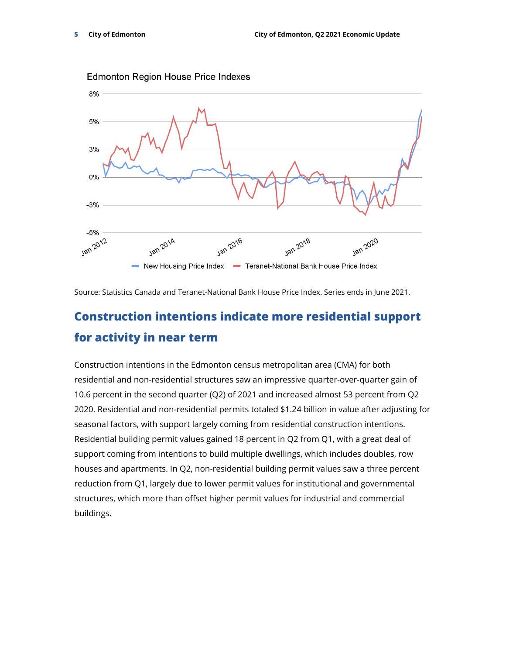

**Edmonton Region House Price Indexes** 

Source: Statistics Canada and Teranet-National Bank House Price Index. Series ends in June 2021.

## **Construction intentions indicate more residential support for activity in near term**

Construction intentions in the Edmonton census metropolitan area (CMA) for both residential and non-residential structures saw an impressive quarter-over-quarter gain of 10.6 percent in the second quarter (Q2) of 2021 and increased almost 53 percent from Q2 2020. Residential and non-residential permits totaled \$1.24 billion in value after adjusting for seasonal factors, with support largely coming from residential construction intentions. Residential building permit values gained 18 percent in Q2 from Q1, with a great deal of support coming from intentions to build multiple dwellings, which includes doubles, row houses and apartments. In Q2, non-residential building permit values saw a three percent reduction from Q1, largely due to lower permit values for institutional and governmental structures, which more than offset higher permit values for industrial and commercial buildings.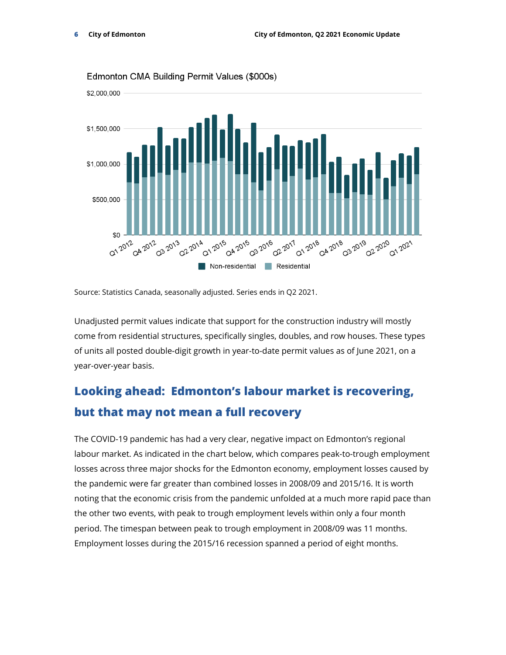

Edmonton CMA Building Permit Values (\$000s)

Source: Statistics Canada, seasonally adjusted. Series ends in Q2 2021.

Unadjusted permit values indicate that support for the construction industry will mostly come from residential structures, specifically singles, doubles, and row houses. These types of units all posted double-digit growth in year-to-date permit values as of June 2021, on a year-over-year basis.

# **Looking ahead: Edmonton's labour market is recovering, but that may not mean a full recovery**

The COVID-19 pandemic has had a very clear, negative impact on Edmonton's regional labour market. As indicated in the chart below, which compares peak-to-trough employment losses across three major shocks for the Edmonton economy, employment losses caused by the pandemic were far greater than combined losses in 2008/09 and 2015/16. It is worth noting that the economic crisis from the pandemic unfolded at a much more rapid pace than the other two events, with peak to trough employment levels within only a four month period. The timespan between peak to trough employment in 2008/09 was 11 months. Employment losses during the 2015/16 recession spanned a period of eight months.